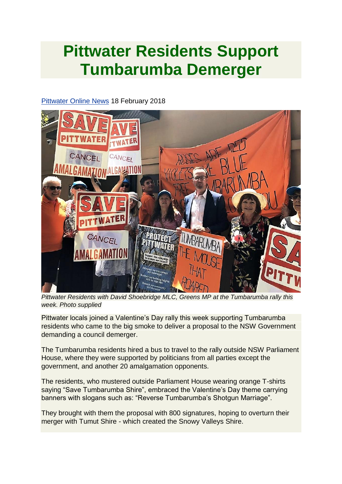## **Pittwater Residents Support Tumbarumba Demerger**

## [Pittwater Online News](http://www.pittwateronlinenews.com/Tumbarumba-Delivers-Divorce-Proposal-to-State-Govt.php) 18 February 2018



*Pittwater Residents with David Shoebridge MLC, Greens MP at the Tumbarumba rally this week. Photo supplied*

Pittwater locals joined a Valentine's Day rally this week supporting Tumbarumba residents who came to the big smoke to deliver a proposal to the NSW Government demanding a council demerger.

The Tumbarumba residents hired a bus to travel to the rally outside NSW Parliament House, where they were supported by politicians from all parties except the government, and another 20 amalgamation opponents.

The residents, who mustered outside Parliament House wearing orange T-shirts saying "Save Tumbarumba Shire", embraced the Valentine's Day theme carrying banners with slogans such as: "Reverse Tumbarumba's Shotgun Marriage".

They brought with them the proposal with 800 signatures, hoping to overturn their merger with Tumut Shire - which created the Snowy Valleys Shire.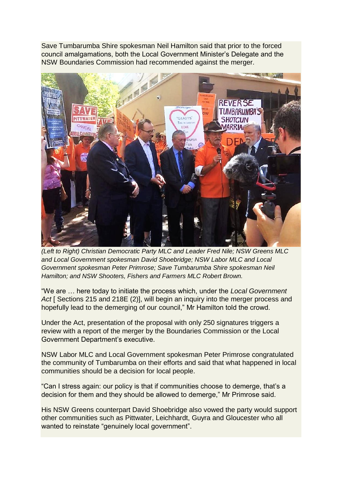Save Tumbarumba Shire spokesman Neil Hamilton said that prior to the forced council amalgamations, both the Local Government Minister's Delegate and the NSW Boundaries Commission had recommended against the merger.



*(Left to Right) Christian Democratic Party MLC and Leader Fred Nile; NSW Greens MLC and Local Government spokesman David Shoebridge; NSW Labor MLC and Local Government spokesman Peter Primrose; Save Tumbarumba Shire spokesman Neil Hamilton; and NSW Shooters, Fishers and Farmers MLC Robert Brown.*

"We are … here today to initiate the process which, under the *Local Government*  Act [ Sections 215 and 218E (2)], will begin an inquiry into the merger process and hopefully lead to the demerging of our council," Mr Hamilton told the crowd.

Under the Act, presentation of the proposal with only 250 signatures triggers a review with a report of the merger by the Boundaries Commission or the Local Government Department's executive.

NSW Labor MLC and Local Government spokesman Peter Primrose congratulated the community of Tumbarumba on their efforts and said that what happened in local communities should be a decision for local people.

"Can I stress again: our policy is that if communities choose to demerge, that's a decision for them and they should be allowed to demerge," Mr Primrose said.

His NSW Greens counterpart David Shoebridge also vowed the party would support other communities such as Pittwater, Leichhardt, Guyra and Gloucester who all wanted to reinstate "genuinely local government".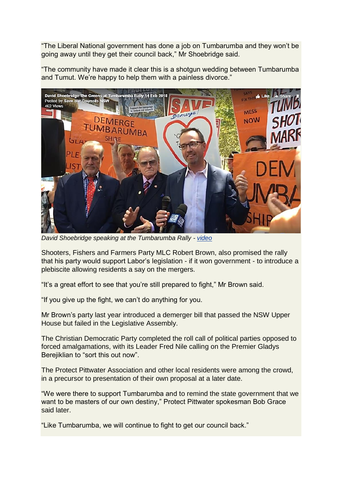"The Liberal National government has done a job on Tumbarumba and they won't be going away until they get their council back," Mr Shoebridge said.

"The community have made it clear this is a shotgun wedding between Tumbarumba and Tumut. We're happy to help them with a painless divorce."



*David Shoebridge speaking at the Tumbarumba Rally - [video](https://www.facebook.com/saveourcouncils/videos/2006526336336592/)*

Shooters, Fishers and Farmers Party MLC Robert Brown, also promised the rally that his party would support Labor's legislation - if it won government - to introduce a plebiscite allowing residents a say on the mergers.

"It's a great effort to see that you're still prepared to fight," Mr Brown said.

"If you give up the fight, we can't do anything for you.

Mr Brown's party last year introduced a demerger bill that passed the NSW Upper House but failed in the Legislative Assembly.

The Christian Democratic Party completed the roll call of political parties opposed to forced amalgamations, with its Leader Fred Nile calling on the Premier Gladys Berejiklian to "sort this out now".

The Protect Pittwater Association and other local residents were among the crowd, in a precursor to presentation of their own proposal at a later date.

"We were there to support Tumbarumba and to remind the state government that we want to be masters of our own destiny," Protect Pittwater spokesman Bob Grace said later.

"Like Tumbarumba, we will continue to fight to get our council back."